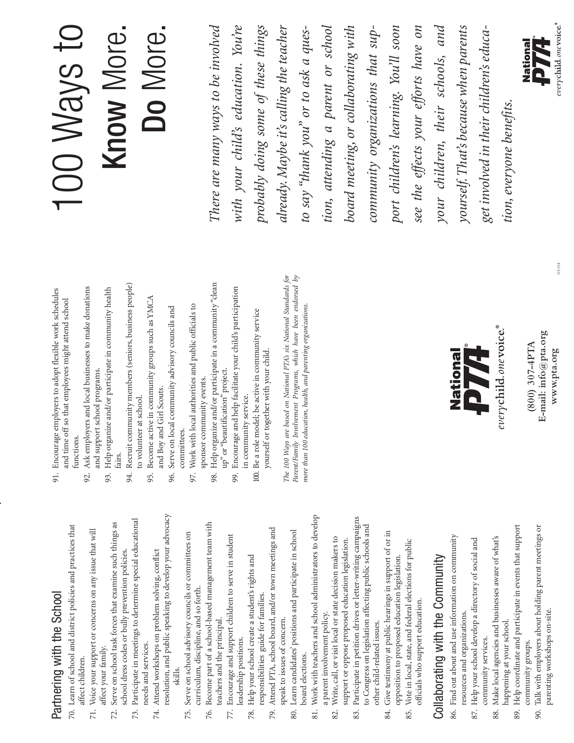# Partnering with the School Partnering with the School

- 70. Learn of school and district policies and practices that 70. Learn of school and district policies and practices that affect children. affect children.
	- 71. Voice your support or concerns on any issue that will 71. Voice your support or concerns on any issue that will affect your family. affect your family.
- Serve on school task forces that examine such things as 72. Serve on school task forces that examine such things as school dress codes or bully prevention policies. school dress codes or bully prevention policies. 72.
- Participate in meetings to determine special educational 73. Participate in meetings to determine special educational needs and services. needs and services. 73.
- resolution, and public speaking to develop your advocacy resolution, and public speaking to develop your advocacy Attend workshops on problem solving, conflict 74. Attend workshops on problem solving, conflict skills. 74.
- Serve on school advisory councils or committees on 75. Serve on school advisory councils or committees on curriculum, discipline, and so forth. curriculum, discipline, and so forth. 75.
- Become part of a school-based management team with 76. Become part of a school-based management team with teachers and the principal. teachers and the principal. 76.
	- 77. Encourage and support children to serve in student Encourage and support children to serve in student leadership positions. leadership positions. 77.
		- 78. Help your school create a student's rights and Help your school create a student's rights and responsibilities guide for families. responsibilities guide for families. 78.
- Attend PTA, school board, and/or town meetings and 79. Attend PTA, school board, and/or town meetings and 79.
	- 80. Learn candidates' positions and participate in school Learn candidates' positions and participate in school speak to issues of concern. speak to issues of concern. board elections. board elections. 80.
- 81. Work with teachers and school administrators to develop Work with teachers and school administrators to develop a parent involvement policy. a parent involvement policy.  $\overline{81}$ .
	- 82. Write, call, or visit local or state decision makers to Write, call, or visit local or state decision makers to support or oppose proposed education legislation. support or oppose proposed education legislation. 82.
- Participate in petition drives or letter-writing campaigns 83. Participate in petition drives or letter-writing campaigns to Congress on legislation affecting public schools and to Congress on legislation affecting public schools and other child-related issues. other child-related issues. 83.
	- Give testimony at public hearings in support of or in 84. Give testimony at public hearings in support of or in opposition to proposed education legislation. opposition to proposed education legislation 84.
		- Vote in local, state, and federal elections for public 85. Vote in local, state, and federal elections for public officials who support education. officials who support education. 85.

# Collaborating with the Community Collaborating with the Community

- 86. Find out about and use information on community 86. Find out about and use information on community resources and organizations. resources and organizations.
	- 87. Help your school develop a directory of social and 87. Help your school develop a directory of social and community services. community services.
- 88. Make local agencies and businesses aware of what's Make local agencies and businesses aware of what's happening at your school. happening at your school. 88.
- 89. Help coordinate and participate in events that support Help coordinate and participate in events that support community groups. community groups. 89.
	- 90. Talk with employers about holding parent meetings or Talk with employers about holding parent meetings or parenting workshops on-site. parenting workshops on-site. 90.
- 91. Encourage employers to adopt flexible work schedules Encourage employers to adopt flexible work schedules and time off so that employees might attend school and time off so that employees might attend school functions. functions.  $\overline{5}$
- 92. Ask employers and local businesses to make donations Ask employers and local businesses to make donations and support school programs. and support school programs. 92.
	- 93. Help organize and/or participate in community health Help organize and/or participate in community health fairs. 93.
- 94. Recruit community members (seniors, business people) Recruit community members (seniors, business people) to volunteer at school. to volunteer at school. 94.
	- 95. Become active in community groups such as YMCA Become active in community groups such as YMCA and Boy and Girl Scouts. and Boy and Girl Scouts. 95.
- Serve on local community advisory councils and 96. Serve on local community advisory councils and committees. committees. 96.
- Work with local authorities and public officials to 97. Work with local authorities and public officials to 97.
- Help organize and/or participate in a community "clean 98. Help organize and/or participate in a community "clean sponsor community events. sponsor community events 98.
- Encourage and help facilitate your child's participation 99. Encourage and help facilitate your child's participation up" or "beautification" project. up" or "beautification" project. 99.
- 100. Be a role model; be active in community service Be a role model; be active in community service yourself or together with your child. yourself or together with your child. in community service. in community service.  $\overline{8}$

The 100 Ways are based on National PTA's six National Standards for<br>Parent/Family Involvement Programs, which have been endorsed by *The 100 Ways are based on National PTA's six National Standards for Parent/Family Involvement Programs, which have been endorsed by* more than 100 education, health, and parenting organizations *more than 100 education, health, and parenting organizations.*



E-mail: info@pta.org **E-mail: info@pta.org**  $(800)$  307-4PTA **(800) 307-4PTA** www.pta.org **www.pta.org**

## 100 Ways to Know More. Know More. Do More.

There are many ways to be involved with your child's education. You're already. Maybe it's calling the teacher tion, attending a parent or school board meeting, or collaborating with port children's learning. You'll soom see the effects your efforts have on your children, their schools, and yourself. That's because when parents *There are many ways to be involved* probably doing some of these things *already. Maybe it's calling the teacher tion, attending a parent or school* community organizations that sup*your children, their schools, and* get involved in their children's educa*with your child's education. You're probably doing some of these things* to say "thank you" or to ask a ques*to say "thank you" or to ask a quesboard meeting, or collaborating with community organizations that support children's learning. You'll soon see the effects your efforts have on yourself. That's because when parents get involved in their children's educa*tion, everyone benefits. *tion, everyone benefits.*



03/04